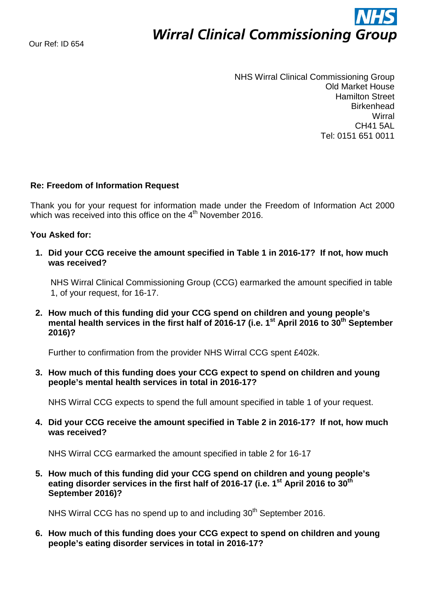## **Wirral Clinical Commissioning Group**

NHS Wirral Clinical Commissioning Group Old Market House Hamilton Street **Birkenhead Wirral** CH41 5AL Tel: 0151 651 0011

## **Re: Freedom of Information Request**

Thank you for your request for information made under the Freedom of Information Act 2000 which was received into this office on the 4<sup>th</sup> November 2016.

## **You Asked for:**

**1. Did your CCG receive the amount specified in Table 1 in 2016-17? If not, how much was received?** 

NHS Wirral Clinical Commissioning Group (CCG) earmarked the amount specified in table 1, of your request, for 16-17.

**2. How much of this funding did your CCG spend on children and young people's**  mental health services in the first half of 2016-17 (i.e. 1<sup>st</sup> April 2016 to 30<sup>th</sup> September **2016)?** 

Further to confirmation from the provider NHS Wirral CCG spent £402k.

**3. How much of this funding does your CCG expect to spend on children and young people's mental health services in total in 2016-17?** 

NHS Wirral CCG expects to spend the full amount specified in table 1 of your request.

**4. Did your CCG receive the amount specified in Table 2 in 2016-17? If not, how much was received?** 

NHS Wirral CCG earmarked the amount specified in table 2 for 16-17

**5. How much of this funding did your CCG spend on children and young people's eating disorder services in the first half of 2016-17 (i.e. 1st April 2016 to 30th September 2016)?** 

NHS Wirral CCG has no spend up to and including 30<sup>th</sup> September 2016.

**6. How much of this funding does your CCG expect to spend on children and young people's eating disorder services in total in 2016-17?**